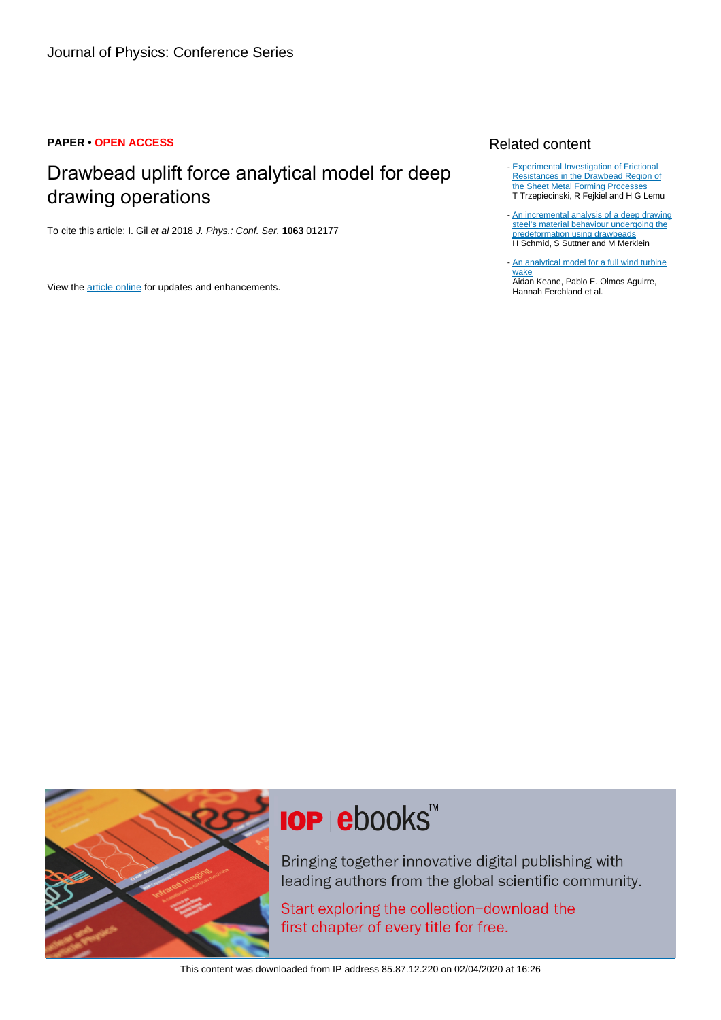# **PAPER • OPEN ACCESS**

# Drawbead uplift force analytical model for deep drawing operations

To cite this article: I. Gil et al 2018 J. Phys.: Conf. Ser. **1063** 012177

View the [article online](https://doi.org/10.1088/1742-6596/1063/1/012177) for updates and enhancements.

# Related content

- [Experimental Investigation of Frictional](http://iopscience.iop.org/article/10.1088/1757-899X/269/1/012042) [Resistances in the Drawbead Region of](http://iopscience.iop.org/article/10.1088/1757-899X/269/1/012042) [the Sheet Metal Forming Processes](http://iopscience.iop.org/article/10.1088/1757-899X/269/1/012042) T Trzepiecinski, R Fejkiel and H G Lemu
- [An incremental analysis of a deep drawing](http://iopscience.iop.org/article/10.1088/1742-6596/896/1/012010) [steel's material behaviour undergoing the](http://iopscience.iop.org/article/10.1088/1742-6596/896/1/012010) [predeformation using drawbeads](http://iopscience.iop.org/article/10.1088/1742-6596/896/1/012010) H Schmid, S Suttner and M Merklein
- [An analytical model for a full wind turbine](http://iopscience.iop.org/article/10.1088/1742-6596/753/3/032039) [wake](http://iopscience.iop.org/article/10.1088/1742-6596/753/3/032039) Aidan Keane, Pablo E. Olmos Aguirre, Hannah Ferchland et al.



# **IOP ebooks**™

Bringing together innovative digital publishing with leading authors from the global scientific community.

Start exploring the collection-download the first chapter of every title for free.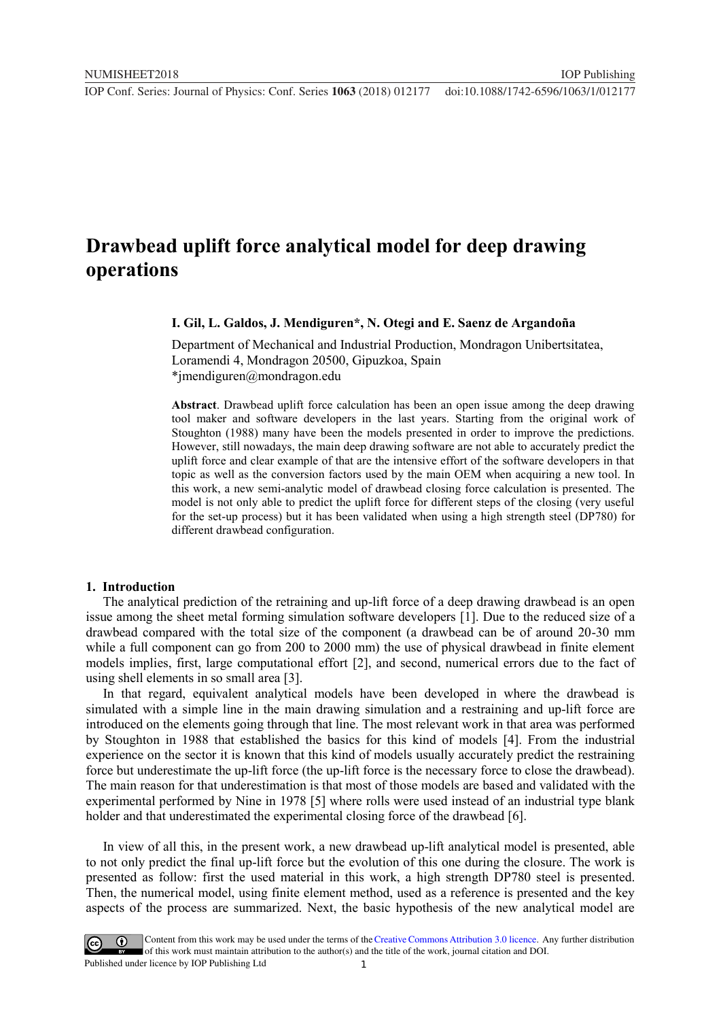# **Drawbead uplift force analytical model for deep drawing operations**

# **I. Gil, L. Galdos, J. Mendiguren\*, N. Otegi and E. Saenz de Argandoña**

Department of Mechanical and Industrial Production, Mondragon Unibertsitatea, Loramendi 4, Mondragon 20500, Gipuzkoa, Spain \*jmendiguren@mondragon.edu

**Abstract**. Drawbead uplift force calculation has been an open issue among the deep drawing tool maker and software developers in the last years. Starting from the original work of Stoughton (1988) many have been the models presented in order to improve the predictions. However, still nowadays, the main deep drawing software are not able to accurately predict the uplift force and clear example of that are the intensive effort of the software developers in that topic as well as the conversion factors used by the main OEM when acquiring a new tool. In this work, a new semi-analytic model of drawbead closing force calculation is presented. The model is not only able to predict the uplift force for different steps of the closing (very useful for the set-up process) but it has been validated when using a high strength steel (DP780) for different drawbead configuration.

#### **1. Introduction**

The analytical prediction of the retraining and up-lift force of a deep drawing drawbead is an open issue among the sheet metal forming simulation software developers [1]. Due to the reduced size of a drawbead compared with the total size of the component (a drawbead can be of around 20-30 mm while a full component can go from 200 to 2000 mm) the use of physical drawbead in finite element models implies, first, large computational effort [2], and second, numerical errors due to the fact of using shell elements in so small area [3].

In that regard, equivalent analytical models have been developed in where the drawbead is simulated with a simple line in the main drawing simulation and a restraining and up-lift force are introduced on the elements going through that line. The most relevant work in that area was performed by Stoughton in 1988 that established the basics for this kind of models [4]. From the industrial experience on the sector it is known that this kind of models usually accurately predict the restraining force but underestimate the up-lift force (the up-lift force is the necessary force to close the drawbead). The main reason for that underestimation is that most of those models are based and validated with the experimental performed by Nine in 1978 [5] where rolls were used instead of an industrial type blank holder and that underestimated the experimental closing force of the drawbead [6].

In view of all this, in the present work, a new drawbead up-lift analytical model is presented, able to not only predict the final up-lift force but the evolution of this one during the closure. The work is presented as follow: first the used material in this work, a high strength DP780 steel is presented. Then, the numerical model, using finite element method, used as a reference is presented and the key aspects of the process are summarized. Next, the basic hypothesis of the new analytical model are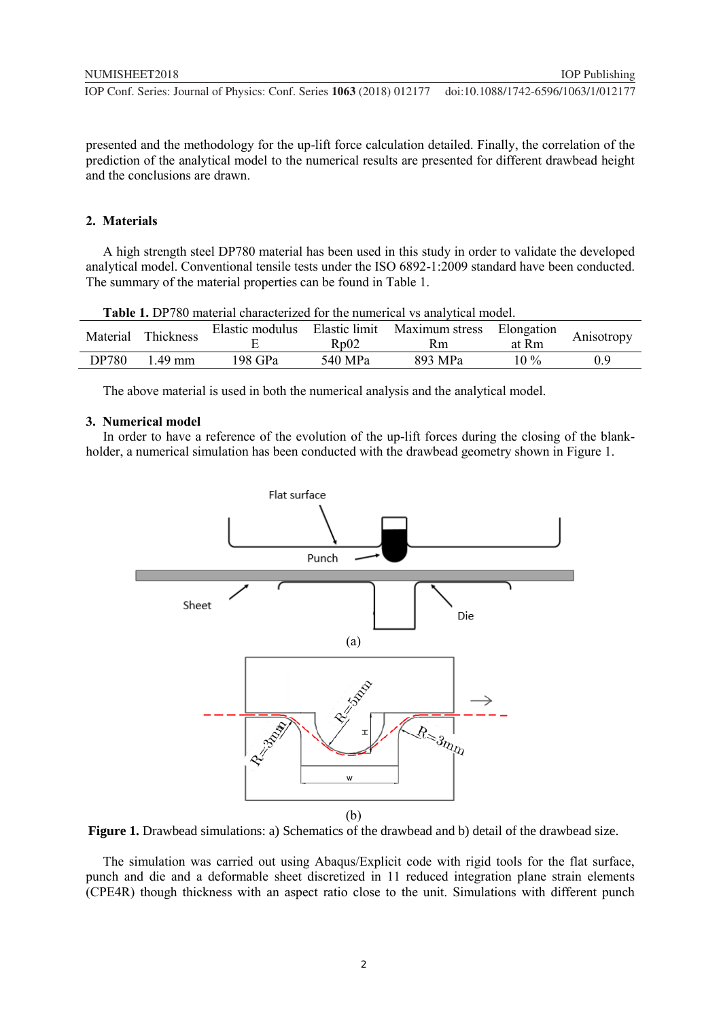presented and the methodology for the up-lift force calculation detailed. Finally, the correlation of the prediction of the analytical model to the numerical results are presented for different drawbead height and the conclusions are drawn.

# **2. Materials**

A high strength steel DP780 material has been used in this study in order to validate the developed analytical model. Conventional tensile tests under the ISO 6892-1:2009 standard have been conducted. The summary of the material properties can be found in Table 1.

| <b>Table 1.</b> DP780 material characterized for the numerical vs analytical model. |                  |                                  |         |                |            |            |  |
|-------------------------------------------------------------------------------------|------------------|----------------------------------|---------|----------------|------------|------------|--|
| Material                                                                            | <b>Thickness</b> | Elastic limit<br>Elastic modulus |         | Maximum stress | Elongation | Anisotropy |  |
|                                                                                     |                  |                                  | Rp02    | Rm             | at Rm      |            |  |
| DP780                                                                               | 149 mm           | 198 GPa                          | 540 MPa | 893 MPa        | $10\%$     | 09         |  |
|                                                                                     |                  |                                  |         |                |            |            |  |

The above material is used in both the numerical analysis and the analytical model.

#### **3. Numerical model**

In order to have a reference of the evolution of the up-lift forces during the closing of the blankholder, a numerical simulation has been conducted with the drawbead geometry shown in Figure 1.



**Figure 1.** Drawbead simulations: a) Schematics of the drawbead and b) detail of the drawbead size.

The simulation was carried out using Abaqus/Explicit code with rigid tools for the flat surface, punch and die and a deformable sheet discretized in 11 reduced integration plane strain elements (CPE4R) though thickness with an aspect ratio close to the unit. Simulations with different punch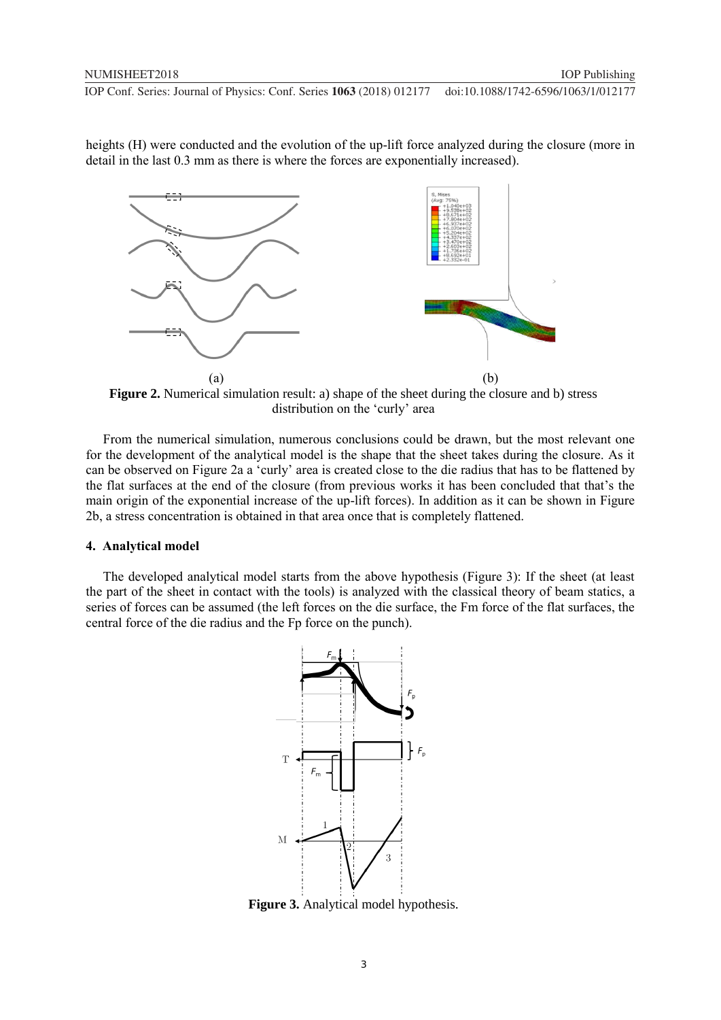heights (H) were conducted and the evolution of the up-lift force analyzed during the closure (more in detail in the last 0.3 mm as there is where the forces are exponentially increased).



**Figure 2.** Numerical simulation result: a) shape of the sheet during the closure and b) stress distribution on the 'curly' area

From the numerical simulation, numerous conclusions could be drawn, but the most relevant one for the development of the analytical model is the shape that the sheet takes during the closure. As it can be observed on Figure 2a a 'curly' area is created close to the die radius that has to be flattened by the flat surfaces at the end of the closure (from previous works it has been concluded that that's the main origin of the exponential increase of the up-lift forces). In addition as it can be shown in Figure 2b, a stress concentration is obtained in that area once that is completely flattened.

#### **4. Analytical model**

The developed analytical model starts from the above hypothesis (Figure 3): If the sheet (at least the part of the sheet in contact with the tools) is analyzed with the classical theory of beam statics, a series of forces can be assumed (the left forces on the die surface, the Fm force of the flat surfaces, the central force of the die radius and the Fp force on the punch).



**Figure 3.** Analytical model hypothesis.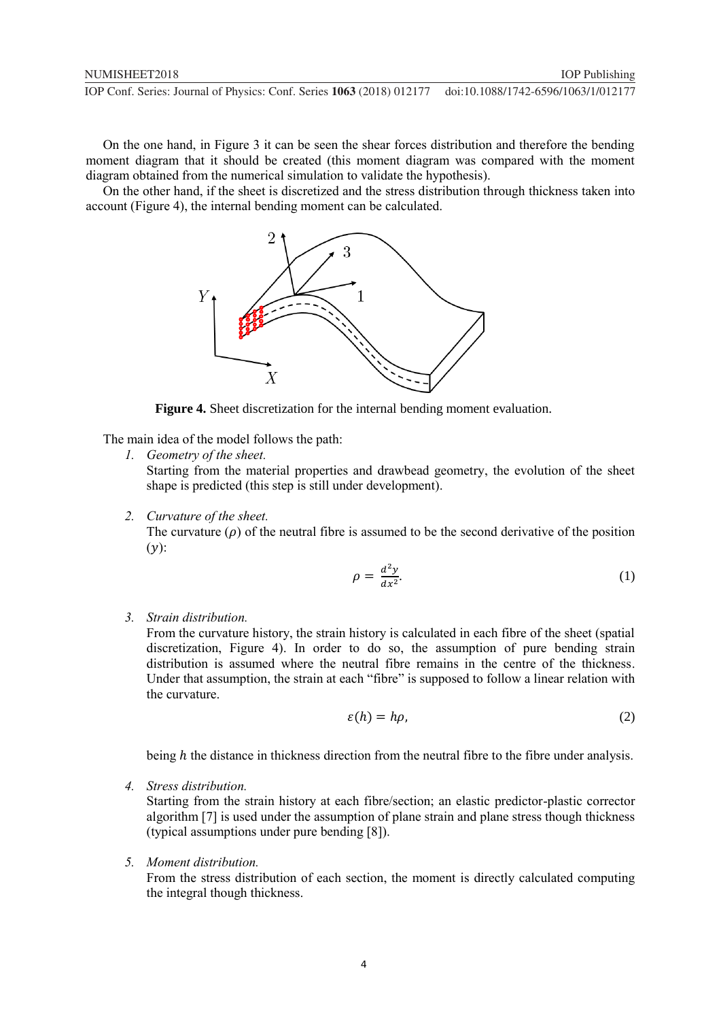On the one hand, in Figure 3 it can be seen the shear forces distribution and therefore the bending moment diagram that it should be created (this moment diagram was compared with the moment diagram obtained from the numerical simulation to validate the hypothesis).

On the other hand, if the sheet is discretized and the stress distribution through thickness taken into account (Figure 4), the internal bending moment can be calculated.



**Figure 4.** Sheet discretization for the internal bending moment evaluation.

The main idea of the model follows the path:

*1. Geometry of the sheet.*

Starting from the material properties and drawbead geometry, the evolution of the sheet shape is predicted (this step is still under development).

*2. Curvature of the sheet.*

The curvature  $(\rho)$  of the neutral fibre is assumed to be the second derivative of the position  $(y)$ :

$$
\rho = \frac{d^2 y}{dx^2}.\tag{1}
$$

*3. Strain distribution.*

From the curvature history, the strain history is calculated in each fibre of the sheet (spatial discretization, Figure 4). In order to do so, the assumption of pure bending strain distribution is assumed where the neutral fibre remains in the centre of the thickness. Under that assumption, the strain at each "fibre" is supposed to follow a linear relation with the curvature.

$$
\varepsilon(h) = h\rho,\tag{2}
$$

being *h* the distance in thickness direction from the neutral fibre to the fibre under analysis.

*4. Stress distribution.*

Starting from the strain history at each fibre/section; an elastic predictor-plastic corrector algorithm [7] is used under the assumption of plane strain and plane stress though thickness (typical assumptions under pure bending [8]).

*5. Moment distribution.*

From the stress distribution of each section, the moment is directly calculated computing the integral though thickness.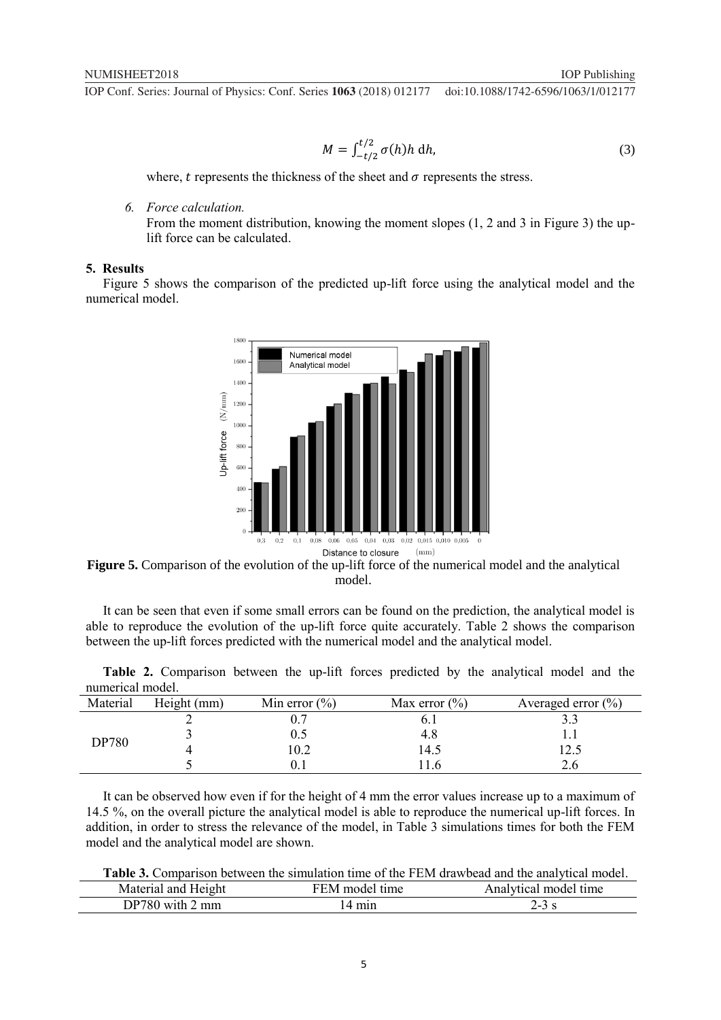$$
M = \int_{-t/2}^{t/2} \sigma(h)h \, dh,\tag{3}
$$

where,  $t$  represents the thickness of the sheet and  $\sigma$  represents the stress.

*6. Force calculation.*

From the moment distribution, knowing the moment slopes  $(1, 2, 2, 3)$  in Figure 3) the uplift force can be calculated.

## **5. Results**

Figure 5 shows the comparison of the predicted up-lift force using the analytical model and the numerical model.



**Figure 5.** Comparison of the evolution of the up-lift force of the numerical model and the analytical model.

It can be seen that even if some small errors can be found on the prediction, the analytical model is able to reproduce the evolution of the up-lift force quite accurately. Table 2 shows the comparison between the up-lift forces predicted with the numerical model and the analytical model.

|                  | Table 2. Comparison between the up-lift forces predicted by the analytical model and the |  |  |  |  |  |
|------------------|------------------------------------------------------------------------------------------|--|--|--|--|--|
| numerical model. |                                                                                          |  |  |  |  |  |
|                  |                                                                                          |  |  |  |  |  |

| Material     | Height (mm) | Min error $(\% )$ | Max error $(\% )$ | Averaged error $(\% )$ |
|--------------|-------------|-------------------|-------------------|------------------------|
|              |             |                   | O. I              |                        |
| <b>DP780</b> |             |                   | 4.8               |                        |
|              |             | 0.2               | !4.5              | l 2.5                  |
|              |             |                   |                   |                        |

It can be observed how even if for the height of 4 mm the error values increase up to a maximum of 14.5 %, on the overall picture the analytical model is able to reproduce the numerical up-lift forces. In addition, in order to stress the relevance of the model, in Table 3 simulations times for both the FEM model and the analytical model are shown.

**Table 3.** Comparison between the simulation time of the FEM drawbead and the analytical model.

| Height              | time   | time         |
|---------------------|--------|--------------|
| Material            | model  | Analytical a |
| and                 | · F.M. | -model -     |
| DP780<br>mm<br>with | min    | د<br>້       |